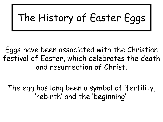# The History of Easter Eggs

Eggs have been associated with the Christian festival of Easter, which celebrates the death and resurrection of Christ.

The egg has long been a symbol of 'fertility, 'rebirth' and the 'beginning'.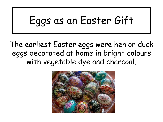# Eggs as an Easter Gift

The earliest Easter eggs were hen or duck eggs decorated at home in bright colours with vegetable dye and charcoal.

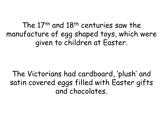The 17th and 18th centuries saw the manufacture of egg shaped toys, which were given to children at Easter.

The Victorians had cardboard, 'plush' and satin covered eggs filled with Easter gifts and chocolates.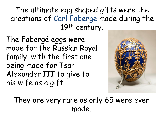The ultimate egg shaped gifts were the creations of Carl Faberge made during the 19<sup>th</sup> century.

The Fabergé eggs were made for the Russian Royal family, with the first one being made for Tsar Alexander III to give to his wife as a gift.



They are very rare as only 65 were ever made.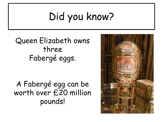## Did you know?

Queen Elizabeth owns three Fabergé eggs.

A Fabergé egg can be worth over £20 million pounds!

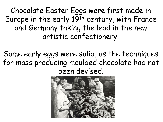Chocolate Easter Eggs were first made in Europe in the early 19<sup>th</sup> century, with France and Germany taking the lead in the new artistic confectionery.

Some early eggs were solid, as the techniques for mass producing moulded chocolate had not been devised.

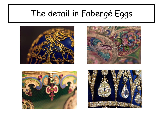#### The detail in Fabergé Eggs